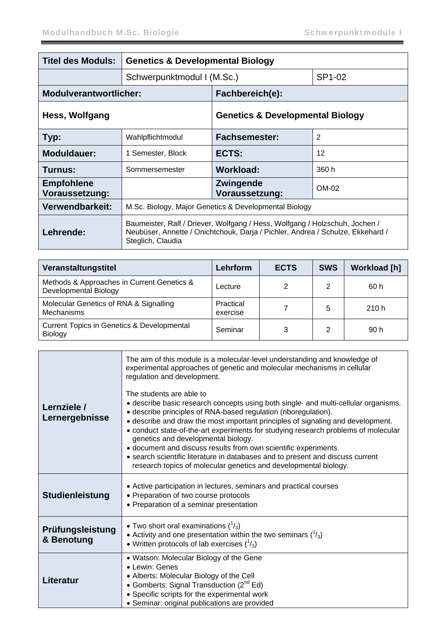| <b>Titel des Moduls:</b>            | <b>Genetics &amp; Developmental Biology</b>                                                                                                                                        |                                             |        |  |
|-------------------------------------|------------------------------------------------------------------------------------------------------------------------------------------------------------------------------------|---------------------------------------------|--------|--|
|                                     | Schwerpunktmodul I (M.Sc.)                                                                                                                                                         |                                             | SP1-02 |  |
| <b>Modulverantwortlicher:</b>       |                                                                                                                                                                                    | Fachbereich(e):                             |        |  |
| Hess, Wolfgang                      |                                                                                                                                                                                    | <b>Genetics &amp; Developmental Biology</b> |        |  |
| Typ:                                | Wahlpflichtmodul                                                                                                                                                                   | $\overline{2}$<br><b>Fachsemester:</b>      |        |  |
| <b>Moduldauer:</b>                  | 1 Semester, Block                                                                                                                                                                  | ECTS:                                       | 12     |  |
| Turnus:                             | Sommersemester                                                                                                                                                                     | <b>Workload:</b>                            | 360 h  |  |
| <b>Empfohlene</b><br>Voraussetzung: |                                                                                                                                                                                    | Zwingende<br>Voraussetzung:                 | OM-02  |  |
| Verwendbarkeit:                     | M.Sc. Biology, Major Genetics & Developmental Biology                                                                                                                              |                                             |        |  |
| Lehrende:                           | Baumeister, Ralf / Driever, Wolfgang / Hess, Wolfgang / Holzschuh, Jochen /<br>Neubüser, Annette / Onichtchouk, Darja / Pichler, Andrea / Schulze, Ekkehard /<br>Steglich, Claudia |                                             |        |  |

| Veranstaltungstitel                                                 | Lehrform              | <b>ECTS</b> | <b>SWS</b> | <b>Workload [h]</b> |
|---------------------------------------------------------------------|-----------------------|-------------|------------|---------------------|
| Methods & Approaches in Current Genetics &<br>Developmental Biology | Lecture               | 2           | 2          | 60 h                |
| Molecular Genetics of RNA & Signalling<br><b>Mechanisms</b>         | Practical<br>exercise |             | 5          | 210h                |
| <b>Current Topics in Genetics &amp; Developmental</b><br>Biology    | Seminar               | 3           | 2          | 90 h                |

| Lernziele /<br>Lernergebnisse  | The aim of this module is a molecular-level understanding and knowledge of<br>experimental approaches of genetic and molecular mechanisms in cellular<br>regulation and development.<br>The students are able to<br>• describe basic research concepts using both single- and multi-cellular organisms.<br>• describe principles of RNA-based regulation (riboregulation).<br>• describe and draw the most important principles of signaling and development.<br>• conduct state-of-the-art experiments for studying research problems of molecular<br>genetics and developmental biology.<br>• document and discuss results from own scientific experiments.<br>• search scientific literature in databases and to present and discuss current<br>research topics of molecular genetics and developmental biology. |
|--------------------------------|---------------------------------------------------------------------------------------------------------------------------------------------------------------------------------------------------------------------------------------------------------------------------------------------------------------------------------------------------------------------------------------------------------------------------------------------------------------------------------------------------------------------------------------------------------------------------------------------------------------------------------------------------------------------------------------------------------------------------------------------------------------------------------------------------------------------|
| <b>Studienleistung</b>         | • Active participation in lectures, seminars and practical courses<br>• Preparation of two course protocols<br>• Preparation of a seminar presentation                                                                                                                                                                                                                                                                                                                                                                                                                                                                                                                                                                                                                                                              |
| Prüfungsleistung<br>& Benotung | • Two short oral examinations $\binom{1}{3}$<br>• Activity and one presentation within the two seminars $(^1/3)$<br>• Written protocols of lab exercises $\binom{1}{3}$                                                                                                                                                                                                                                                                                                                                                                                                                                                                                                                                                                                                                                             |
| Literatur                      | • Watson: Molecular Biology of the Gene<br>• Lewin: Genes<br>• Alberts: Molecular Biology of the Cell<br>• Gomberts: Signal Transduction $(2^{nd} Ed)$<br>• Specific scripts for the experimental work<br>· Seminar: original publications are provided                                                                                                                                                                                                                                                                                                                                                                                                                                                                                                                                                             |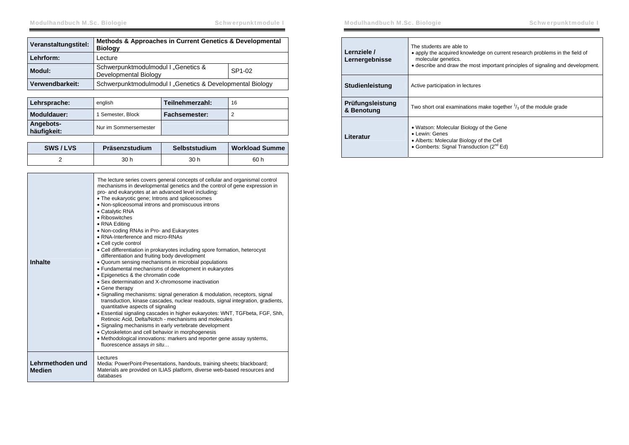| Veranstaltungstitel: | Methods & Approaches in Current Genetics & Developmental<br><b>Biology</b> |        |
|----------------------|----------------------------------------------------------------------------|--------|
| Lehrform:            | Lecture                                                                    |        |
| Modul:               | Schwerpunktmodulmodul I "Genetics &<br>Developmental Biology               | SP1-02 |
| Verwendbarkeit:      | Schwerpunktmodulmodul I "Genetics & Developmental Biology                  |        |

| Lehrsprache:             | english               | Teilnehmerzahl: | 16 |
|--------------------------|-----------------------|-----------------|----|
| Moduldauer:              | 1 Semester, Block     | Fachsemester:   |    |
| Angebots-<br>häufigkeit: | Nur im Sommersemester |                 |    |

| SWS/LVS | Präsenzstudium | Selbststudium | <b>Workload Summe</b> |
|---------|----------------|---------------|-----------------------|
|         | 30 h           | 30 h          | 60 h                  |

| <b>Inhalte</b>                    | The lecture series covers general concepts of cellular and organismal control<br>mechanisms in developmental genetics and the control of gene expression in<br>pro- and eukaryotes at an advanced level including:<br>• The eukaryotic gene; Introns and spliceosomes<br>• Non-spliceosomal introns and promiscuous introns<br>• Catalytic RNA<br>• Riboswitches<br>• RNA Editing<br>. Non-coding RNAs in Pro- and Eukaryotes<br>• RNA-Interference and micro-RNAs<br>• Cell cycle control<br>• Cell differentiation in prokaryotes including spore formation, heterocyst<br>differentiation and fruiting body development<br>• Quorum sensing mechanisms in microbial populations<br>• Fundamental mechanisms of development in eukaryotes<br>• Epigenetics & the chromatin code<br>• Sex determination and X-chromosome inactivation<br>• Gene therapy<br>• Signalling mechanisms: signal generation & modulation, receptors, signal<br>transduction, kinase cascades, nuclear readouts, signal integration, gradients,<br>quantitative aspects of signaling<br>• Essential signaling cascades in higher eukaryotes: WNT, TGFbeta, FGF, Shh,<br>Retinoic Acid, Delta/Notch - mechanisms and molecules<br>• Signaling mechanisms in early vertebrate development<br>• Cytoskeleton and cell behavior in morphogenesis<br>• Methodological innovations: markers and reporter gene assay systems,<br>fluorescence assays in situ |
|-----------------------------------|---------------------------------------------------------------------------------------------------------------------------------------------------------------------------------------------------------------------------------------------------------------------------------------------------------------------------------------------------------------------------------------------------------------------------------------------------------------------------------------------------------------------------------------------------------------------------------------------------------------------------------------------------------------------------------------------------------------------------------------------------------------------------------------------------------------------------------------------------------------------------------------------------------------------------------------------------------------------------------------------------------------------------------------------------------------------------------------------------------------------------------------------------------------------------------------------------------------------------------------------------------------------------------------------------------------------------------------------------------------------------------------------------------------------------------|
| Lehrmethoden und<br><b>Medien</b> | Lectures<br>Media: PowerPoint-Presentations, handouts, training sheets; blackboard;<br>Materials are provided on ILIAS platform, diverse web-based resources and<br>databases                                                                                                                                                                                                                                                                                                                                                                                                                                                                                                                                                                                                                                                                                                                                                                                                                                                                                                                                                                                                                                                                                                                                                                                                                                                   |

| Lernziele /<br>Lernergebnisse  | The students are able to<br>• apply the acquired knowledge on current research problems in the field of<br>molecular genetics.<br>• describe and draw the most important principles of signaling and development. |
|--------------------------------|-------------------------------------------------------------------------------------------------------------------------------------------------------------------------------------------------------------------|
| <b>Studienleistung</b>         | Active participation in lectures                                                                                                                                                                                  |
| Prüfungsleistung<br>& Benotung | Two short oral examinations make together $\frac{1}{3}$ of the module grade                                                                                                                                       |
| Literatur                      | • Watson: Molecular Biology of the Gene<br>• Lewin: Genes<br>• Alberts: Molecular Biology of the Cell<br>• Gomberts: Signal Transduction (2 <sup>nd</sup> Ed)                                                     |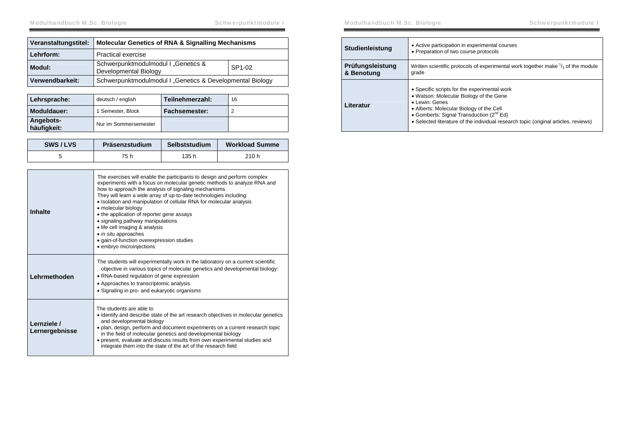| Veranstaltungstitel: | <b>Molecular Genetics of RNA &amp; Signalling Mechanisms</b> |                    |
|----------------------|--------------------------------------------------------------|--------------------|
| Lehrform:            | <b>Practical exercise</b>                                    |                    |
| Modul:               | Schwerpunktmodulmodul I "Genetics &<br>Developmental Biology | SP <sub>1-02</sub> |
| Verwendbarkeit:      | Schwerpunktmodulmodul I "Genetics & Developmental Biology    |                    |

| Lehrsprache:             | deutsch / english     | Teilnehmerzahl: | 16 |
|--------------------------|-----------------------|-----------------|----|
| Moduldauer:              | 1 Semester, Block     | Fachsemester:   |    |
| Angebots-<br>häufigkeit: | Nur im Sommersemester |                 |    |

| SWS/LVS | Präsenzstudium | Selbststudium | <b>Workload Summe</b> |
|---------|----------------|---------------|-----------------------|
|         | 75 h           | 135 h         | 210 h                 |

| Inhalte                       | The exercises will enable the participants to design and perform complex<br>experiments with a focus on molecular genetic methods to analyze RNA and<br>how to approach the analysis of signaling mechanisms.<br>They will learn a wide array of up-to-date technologies including:<br>• Isolation and manipulation of cellular RNA for molecular analysis<br>• molecular biology<br>• the application of reporter gene assays<br>• signaling pathway manipulations<br>• life cell imaging & analysis<br>• in situ approaches<br>· gain-of-function overexpression studies<br>· embryo microinjections |
|-------------------------------|--------------------------------------------------------------------------------------------------------------------------------------------------------------------------------------------------------------------------------------------------------------------------------------------------------------------------------------------------------------------------------------------------------------------------------------------------------------------------------------------------------------------------------------------------------------------------------------------------------|
| Lehrmethoden                  | The students will experimentally work in the laboratory on a current scientific<br>objective in various topics of molecular genetics and developmental biology:<br>• RNA-based regulation of gene expression<br>• Approaches to transcriptomic analysis<br>• Signaling in pro- and eukaryotic organisms                                                                                                                                                                                                                                                                                                |
| Lernziele /<br>Lernergebnisse | The students are able to<br>• identify and describe state of the art research objectives in molecular genetics<br>and developmental biology<br>· plan, design, perform and document experiments on a current research topic<br>in the field of molecular genetics and developmental biology<br>• present, evaluate and discuss results from own experimental studies and<br>integrate them into the state of the art of the research field                                                                                                                                                             |

| <b>Studienleistung</b>         | • Active participation in experimental courses<br>• Preparation of two course protocols                                                                                                                                                                                                              |
|--------------------------------|------------------------------------------------------------------------------------------------------------------------------------------------------------------------------------------------------------------------------------------------------------------------------------------------------|
| Prüfungsleistung<br>& Benotung | Written scientific protocols of experimental work together make $\frac{1}{3}$ of the module<br>grade                                                                                                                                                                                                 |
| Literatur                      | • Specific scripts for the experimental work<br>• Watson: Molecular Biology of the Gene<br>• Lewin: Genes<br>• Alberts: Molecular Biology of the Cell<br>• Gomberts: Signal Transduction (2 <sup>nd</sup> Ed)<br>• Selected literature of the individual research topic (original articles, reviews) |